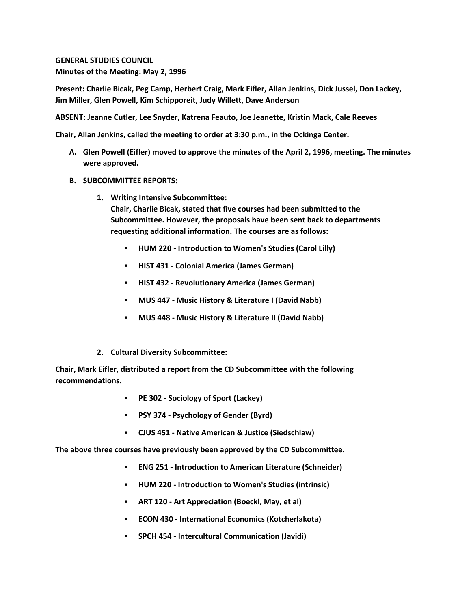**GENERAL STUDIES COUNCIL Minutes of the Meeting: May 2, 1996**

**Present: Charlie Bicak, Peg Camp, Herbert Craig, Mark Eifler, Allan Jenkins, Dick Jussel, Don Lackey, Jim Miller, Glen Powell, Kim Schipporeit, Judy Willett, Dave Anderson**

**ABSENT: Jeanne Cutler, Lee Snyder, Katrena Feauto, Joe Jeanette, Kristin Mack, Cale Reeves**

**Chair, Allan Jenkins, called the meeting to order at 3:30 p.m., in the Ockinga Center.**

- **A. Glen Powell (Eifler) moved to approve the minutes of the April 2, 1996, meeting. The minutes were approved.**
- **B. SUBCOMMITTEE REPORTS:**
	- **1. Writing Intensive Subcommittee: Chair, Charlie Bicak, stated that five courses had been submitted to the Subcommittee. However, the proposals have been sent back to departments requesting additional information. The courses are as follows:** 
		- **HUM 220 - Introduction to Women's Studies (Carol Lilly)**
		- **HIST 431 - Colonial America (James German)**
		- **HIST 432 - Revolutionary America (James German)**
		- **MUS 447 - Music History & Literature I (David Nabb)**
		- **MUS 448 - Music History & Literature II (David Nabb)**
	- **2. Cultural Diversity Subcommittee:**

**Chair, Mark Eifler, distributed a report from the CD Subcommittee with the following recommendations.**

- **PE 302 - Sociology of Sport (Lackey)**
- **PSY 374 - Psychology of Gender (Byrd)**
- **CJUS 451 - Native American & Justice (Siedschlaw)**

**The above three courses have previously been approved by the CD Subcommittee.** 

- **ENG 251 - Introduction to American Literature (Schneider)**
- **HUM 220 - Introduction to Women's Studies (intrinsic)**
- **ART 120 - Art Appreciation (Boeckl, May, et al)**
- **ECON 430 - International Economics (Kotcherlakota)**
- **SPCH 454 - Intercultural Communication (Javidi)**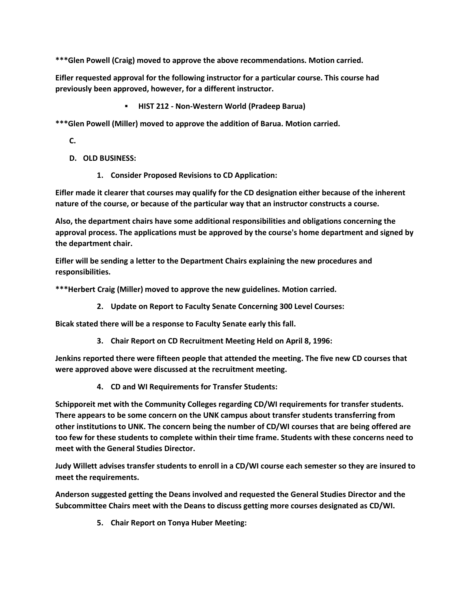**\*\*\*Glen Powell (Craig) moved to approve the above recommendations. Motion carried.** 

**Eifler requested approval for the following instructor for a particular course. This course had previously been approved, however, for a different instructor.**

**HIST 212 - Non-Western World (Pradeep Barua)**

**\*\*\*Glen Powell (Miller) moved to approve the addition of Barua. Motion carried.**

**C.**

- **D. OLD BUSINESS:**
	- **1. Consider Proposed Revisions to CD Application:**

**Eifler made it clearer that courses may qualify for the CD designation either because of the inherent nature of the course, or because of the particular way that an instructor constructs a course.**

**Also, the department chairs have some additional responsibilities and obligations concerning the approval process. The applications must be approved by the course's home department and signed by the department chair.**

**Eifler will be sending a letter to the Department Chairs explaining the new procedures and responsibilities.**

**\*\*\*Herbert Craig (Miller) moved to approve the new guidelines. Motion carried.**

**2. Update on Report to Faculty Senate Concerning 300 Level Courses:** 

**Bicak stated there will be a response to Faculty Senate early this fall.**

**3. Chair Report on CD Recruitment Meeting Held on April 8, 1996:** 

**Jenkins reported there were fifteen people that attended the meeting. The five new CD courses that were approved above were discussed at the recruitment meeting.**

**4. CD and WI Requirements for Transfer Students:** 

**Schipporeit met with the Community Colleges regarding CD/WI requirements for transfer students. There appears to be some concern on the UNK campus about transfer students transferring from other institutions to UNK. The concern being the number of CD/WI courses that are being offered are too few for these students to complete within their time frame. Students with these concerns need to meet with the General Studies Director.**

**Judy Willett advises transfer students to enroll in a CD/WI course each semester so they are insured to meet the requirements.**

**Anderson suggested getting the Deans involved and requested the General Studies Director and the Subcommittee Chairs meet with the Deans to discuss getting more courses designated as CD/WI.**

**5. Chair Report on Tonya Huber Meeting:**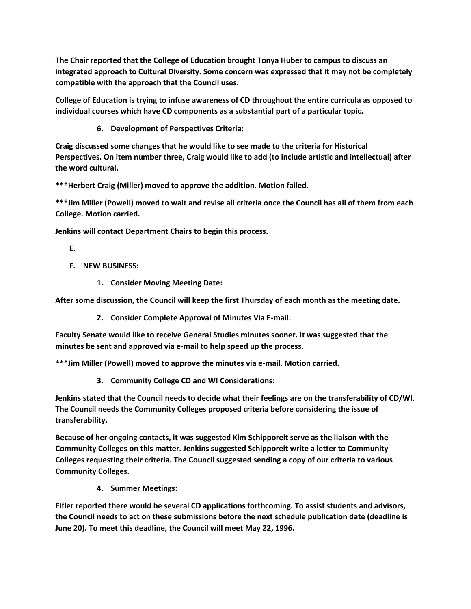**The Chair reported that the College of Education brought Tonya Huber to campus to discuss an integrated approach to Cultural Diversity. Some concern was expressed that it may not be completely compatible with the approach that the Council uses.**

**College of Education is trying to infuse awareness of CD throughout the entire curricula as opposed to individual courses which have CD components as a substantial part of a particular topic.**

**6. Development of Perspectives Criteria:** 

**Craig discussed some changes that he would like to see made to the criteria for Historical Perspectives. On item number three, Craig would like to add (to include artistic and intellectual) after the word cultural.**

**\*\*\*Herbert Craig (Miller) moved to approve the addition. Motion failed.**

**\*\*\*Jim Miller (Powell) moved to wait and revise all criteria once the Council has all of them from each College. Motion carried.**

**Jenkins will contact Department Chairs to begin this process.**

**E.**

- **F. NEW BUSINESS:**
	- **1. Consider Moving Meeting Date:**

**After some discussion, the Council will keep the first Thursday of each month as the meeting date.**

**2. Consider Complete Approval of Minutes Via E-mail:** 

**Faculty Senate would like to receive General Studies minutes sooner. It was suggested that the minutes be sent and approved via e-mail to help speed up the process.**

**\*\*\*Jim Miller (Powell) moved to approve the minutes via e-mail. Motion carried.**

**3. Community College CD and WI Considerations:** 

**Jenkins stated that the Council needs to decide what their feelings are on the transferability of CD/WI. The Council needs the Community Colleges proposed criteria before considering the issue of transferability.**

**Because of her ongoing contacts, it was suggested Kim Schipporeit serve as the liaison with the Community Colleges on this matter. Jenkins suggested Schipporeit write a letter to Community Colleges requesting their criteria. The Council suggested sending a copy of our criteria to various Community Colleges.**

**4. Summer Meetings:** 

**Eifler reported there would be several CD applications forthcoming. To assist students and advisors, the Council needs to act on these submissions before the next schedule publication date (deadline is June 20). To meet this deadline, the Council will meet May 22, 1996.**